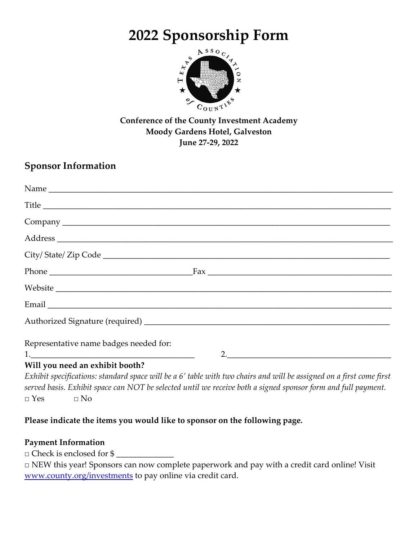# **2022 Sponsorship Form**



**Conference of the County Investment Academy Moody Gardens Hotel, Galveston June 27‐29, 2022**

### **Sponsor Information**

| Representative name badges needed for: | 2. $\frac{1}{2}$ $\frac{1}{2}$ $\frac{1}{2}$ $\frac{1}{2}$ $\frac{1}{2}$ $\frac{1}{2}$ $\frac{1}{2}$ $\frac{1}{2}$ $\frac{1}{2}$ $\frac{1}{2}$ $\frac{1}{2}$ $\frac{1}{2}$ $\frac{1}{2}$ $\frac{1}{2}$ $\frac{1}{2}$ $\frac{1}{2}$ $\frac{1}{2}$ $\frac{1}{2}$ $\frac{1}{2}$ $\frac{1}{2}$ $\frac{1}{2}$ $\frac{1}{2}$ |
|----------------------------------------|------------------------------------------------------------------------------------------------------------------------------------------------------------------------------------------------------------------------------------------------------------------------------------------------------------------------|
| Will you need an exhibit booth?        |                                                                                                                                                                                                                                                                                                                        |

Exhibit specifications: standard space will be a 6' table with two chairs and will be assigned on a first come first served basis. Exhibit space can NOT be selected until we receive both a signed sponsor form and full payment.  $\Box$  Yes  $\Box$  No

### **Please indicate the items you would like to sponsor on the following page.**

### **Payment Information**

 $\Box$  Check is enclosed for \$

□ NEW this year! Sponsors can now complete paperwork and pay with a credit card online! Visit www.county.org/investments to pay online via credit card.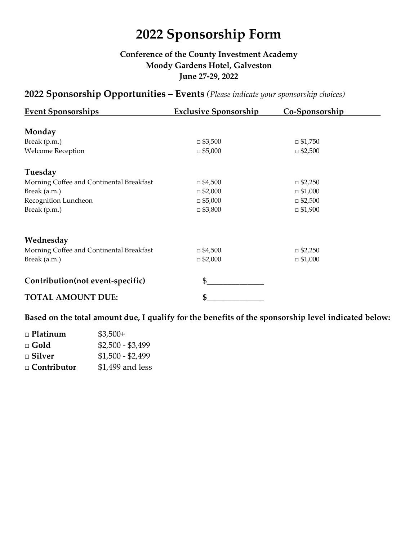# **2022 Sponsorship Form**

### **Conference of the County Investment Academy Moody Gardens Hotel, Galveston June 27‐29, 2022**

### **2022 Sponsorship Opportunities – Events** *(Please indicate your sponsorship choices)*

| <b>Event Sponsorships</b>                | <b>Exclusive Sponsorship</b> | Co-Sponsorship |  |
|------------------------------------------|------------------------------|----------------|--|
| Monday                                   |                              |                |  |
| Break (p.m.)                             | $\Box$ \$3,500               | $\Box$ \$1,750 |  |
| <b>Welcome Reception</b>                 | $\Box$ \$5,000               | $\Box$ \$2,500 |  |
| Tuesday                                  |                              |                |  |
| Morning Coffee and Continental Breakfast | $\Box$ \$4,500               | $\Box$ \$2,250 |  |
| Break (a.m.)                             | $\Box$ \$2,000               | $\Box$ \$1,000 |  |
| Recognition Luncheon                     | $\Box$ \$5,000               | $\Box$ \$2,500 |  |
| Break (p.m.)                             | $\Box$ \$3,800               | $\Box$ \$1,900 |  |
| Wednesday                                |                              |                |  |
| Morning Coffee and Continental Breakfast | $\Box$ \$4,500               | $\Box$ \$2,250 |  |
| Break (a.m.)                             | $\Box$ \$2,000               | $\Box$ \$1,000 |  |
| Contribution(not event-specific)         | \$                           |                |  |
| <b>TOTAL AMOUNT DUE:</b>                 | \$                           |                |  |

**Based on the total amount due, I qualify for the benefits of the sponsorship level indicated below:**

| $\Box$ Platinum    | $$3,500+$         |
|--------------------|-------------------|
| $\Box$ Gold        | $$2,500 - $3,499$ |
| $\Box$ Silver      | $$1,500 - $2,499$ |
| $\Box$ Contributor | \$1,499 and less  |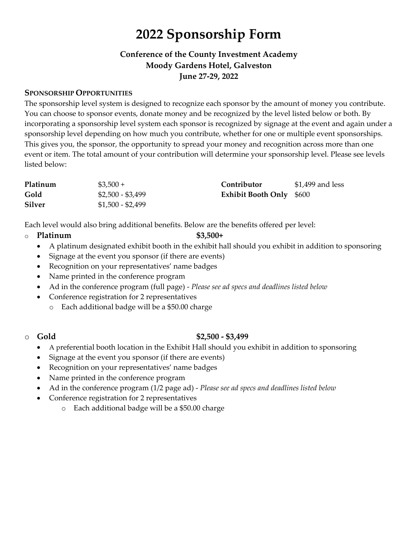## **2022 Sponsorship Form**

### **Conference of the County Investment Academy Moody Gardens Hotel, Galveston June 27‐29, 2022**

### **SPONSORSHIP OPPORTUNITIES**

The sponsorship level system is designed to recognize each sponsor by the amount of money you contribute. You can choose to sponsor events, donate money and be recognized by the level listed below or both. By incorporating a sponsorship level system each sponsor is recognized by signage at the event and again under a sponsorship level depending on how much you contribute, whether for one or multiple event sponsorships. This gives you, the sponsor, the opportunity to spread your money and recognition across more than one event or item. The total amount of your contribution will determine your sponsorship level. Please see levels listed below:

| Platinum      | $\$3,500+$        | Contributor                     | \$1,499 and less |
|---------------|-------------------|---------------------------------|------------------|
| Gold          | $$2,500 - $3,499$ | <b>Exhibit Booth Only</b> \$600 |                  |
| <b>Silver</b> | $$1,500 - $2,499$ |                                 |                  |

Each level would also bring additional benefits. Below are the benefits offered per level:

o **Platinum \$3,500+**

- A platinum designated exhibit booth in the exhibit hall should you exhibit in addition to sponsoring
- Signage at the event you sponsor (if there are events)
- Recognition on your representatives' name badges
- Name printed in the conference program
- Ad in the conference program (full page) ‐ *Please see ad specs and deadlines listed below*
- Conference registration for 2 representatives
	- o Each additional badge will be a \$50.00 charge

### o **Gold \$2,500 ‐ \$3,499**

- A preferential booth location in the Exhibit Hall should you exhibit in addition to sponsoring
- Signage at the event you sponsor (if there are events)
- Recognition on your representatives' name badges
- Name printed in the conference program
- Ad in the conference program (1/2 page ad) ‐ *Please see ad specs and deadlines listed below*
- Conference registration for 2 representatives
	- o Each additional badge will be a \$50.00 charge